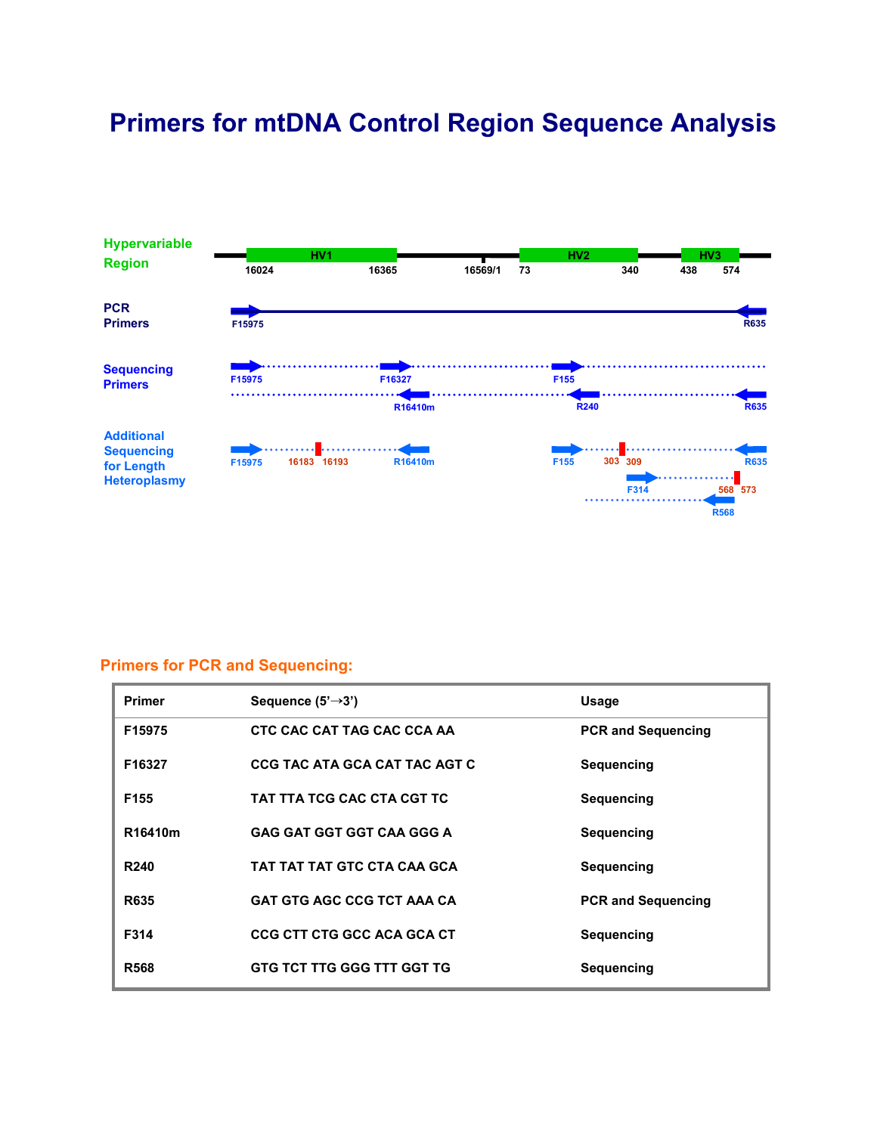# **Primers for mtDNA Control Region Sequence Analysis**



### **Primers for PCR and Sequencing:**

| <b>Primer</b>    | Sequence $(5' \rightarrow 3')$    | Usage                     |
|------------------|-----------------------------------|---------------------------|
| F15975           | CTC CAC CAT TAG CAC CCA AA        | <b>PCR and Sequencing</b> |
| F16327           | CCG TAC ATA GCA CAT TAC AGT C     | <b>Sequencing</b>         |
| F155             | TAT TTA TCG CAC CTA CGT TC        | <b>Sequencing</b>         |
| R16410m          | <b>GAG GAT GGT GGT CAA GGG A</b>  | Sequencing                |
| R <sub>240</sub> | TAT TAT TAT GTC CTA CAA GCA       | Sequencing                |
| <b>R635</b>      | <b>GAT GTG AGC CCG TCT AAA CA</b> | <b>PCR and Sequencing</b> |
| F314             | <b>CCG CTT CTG GCC ACA GCA CT</b> | <b>Sequencing</b>         |
| <b>R568</b>      | <b>GTG TCT TTG GGG TTT GGT TG</b> | <b>Sequencing</b>         |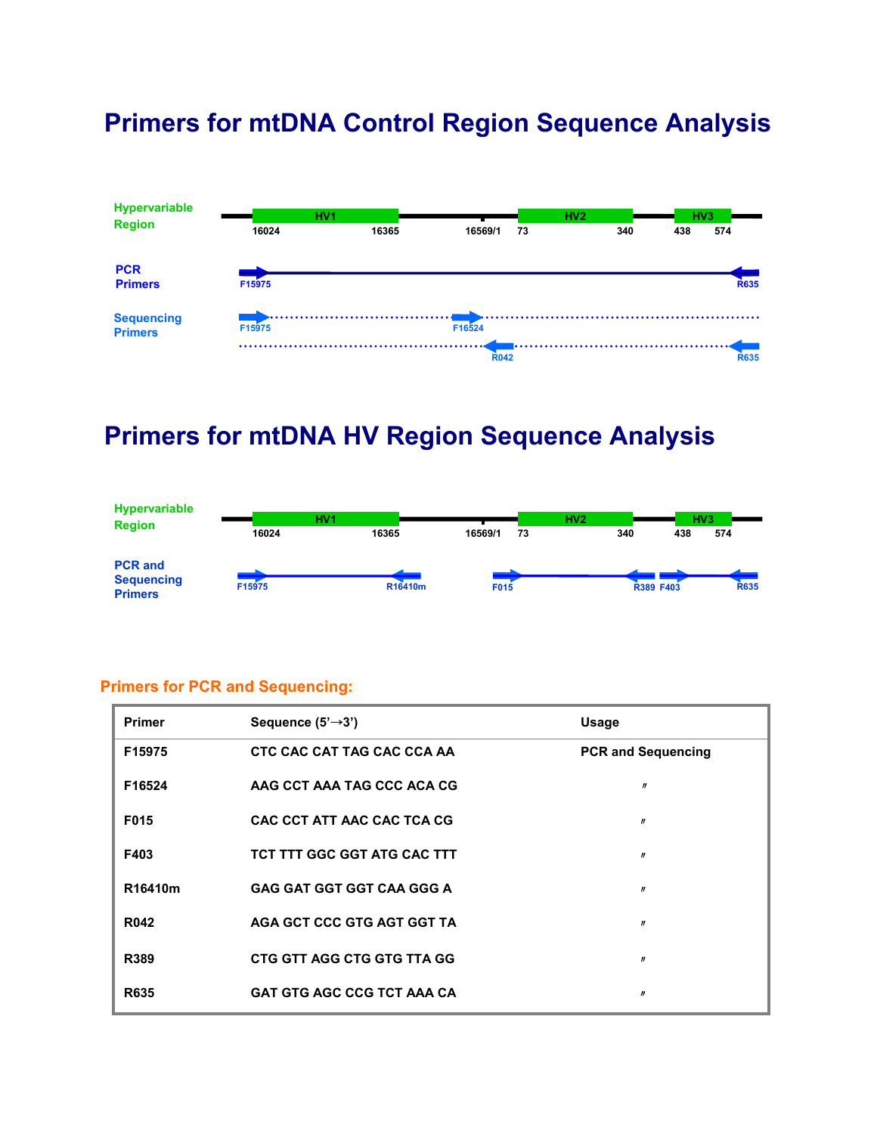# **Primers for mtDNA Control Region Sequence Analysis**



## **Primers for mtDNA HV Region Sequence Analysis**



#### **Primers for PCR and Sequencing:**

| <b>Primer</b> | Sequence $(5' \rightarrow 3')$    | <b>Usage</b>              |
|---------------|-----------------------------------|---------------------------|
| F15975        | CTC CAC CAT TAG CAC CCA AA        | <b>PCR and Sequencing</b> |
| F16524        | AAG CCT AAA TAG CCC ACA CG        | $\boldsymbol{n}$          |
| F015          | CAC CCT ATT AAC CAC TCA CG        | $\boldsymbol{n}$          |
| F403          | TCT TTT GGC GGT ATG CAC TTT       | $\boldsymbol{n}$          |
| R16410m       | <b>GAG GAT GGT GGT CAA GGG A</b>  | $\boldsymbol{n}$          |
| <b>R042</b>   | AGA GCT CCC GTG AGT GGT TA        | $\boldsymbol{n}$          |
| R389          | CTG GTT AGG CTG GTG TTA GG        | n                         |
| <b>R635</b>   | <b>GAT GTG AGC CCG TCT AAA CA</b> | W                         |